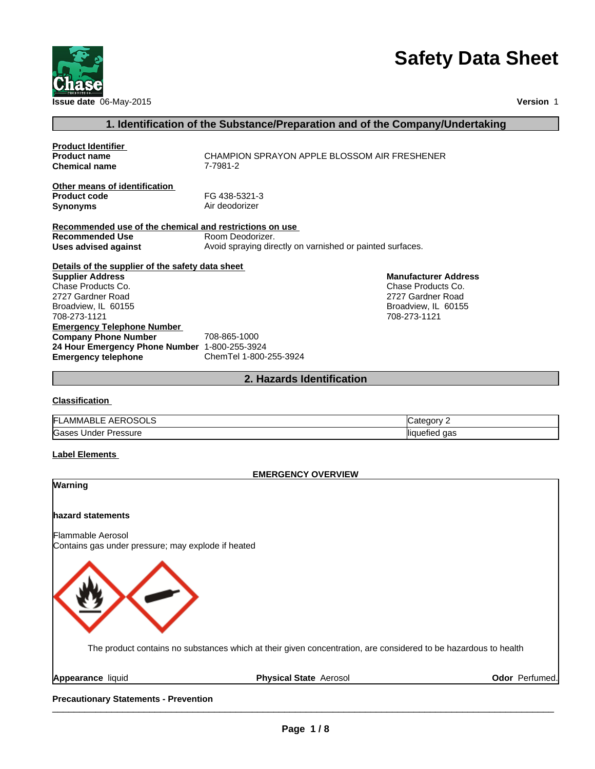

# **Safety Data Sheet**

**Version** 1

#### **1. Identification of the Substance/Preparation and of the Company/Undertaking**

| <b>Product Identifier</b><br><b>Product name</b>                        | CHAMPION SPRAYON APPLE BLOSSOM AIR FRESHENER              |
|-------------------------------------------------------------------------|-----------------------------------------------------------|
| <b>Chemical name</b>                                                    | 7-7981-2                                                  |
| Other means of identification<br><b>Product code</b><br><b>Synonyms</b> | FG 438-5321-3<br>Air deodorizer                           |
| Recommended use of the chemical and restrictions on use                 |                                                           |
| Recommended Use                                                         | Room Deodorizer.                                          |
| Uses advised against                                                    | Avoid spraying directly on varnished or painted surfaces. |
| Details of the supplier of the safety data sheet                        |                                                           |
| <b>Supplier Address</b>                                                 | <b>Manufacturer Address</b>                               |
| Chase Products Co.                                                      | Chase Products Co.                                        |
| 2727 Gardner Road                                                       | 2727 Gardner Road                                         |
| Broadview, IL 60155                                                     | Broadview, IL 60155                                       |
| 708-273-1121                                                            | 708-273-1121                                              |
| <b>Emergency Telephone Number</b>                                       |                                                           |
| <b>Company Phone Number</b>                                             | 708-865-1000                                              |
| 24 Hour Emergency Phone Number 1-800-255-3924                           |                                                           |
| <b>Emergency telephone</b>                                              | ChemTel 1-800-255-3924                                    |

#### **2. Hazards Identification**

#### **Classification**

| IЕI<br>AMMABL.<br>AE<br>-<br>__ | vionate      |
|---------------------------------|--------------|
| Gases                           | aas          |
| Pressure                        | lliat        |
| <b>Jnder</b>                    | <b>'enec</b> |

#### **Label Elements**

#### **EMERGENCY OVERVIEW**

# **hazard statements** Flammable Aerosol Contains gas under pressure; may explode if heated **Warning** The product contains no substances which at their given concentration, are considered to be hazardous to health

**Appearance** liquid **Physical State** Aerosol **Odor** Perfumed.

Precautionary Statements - Prevention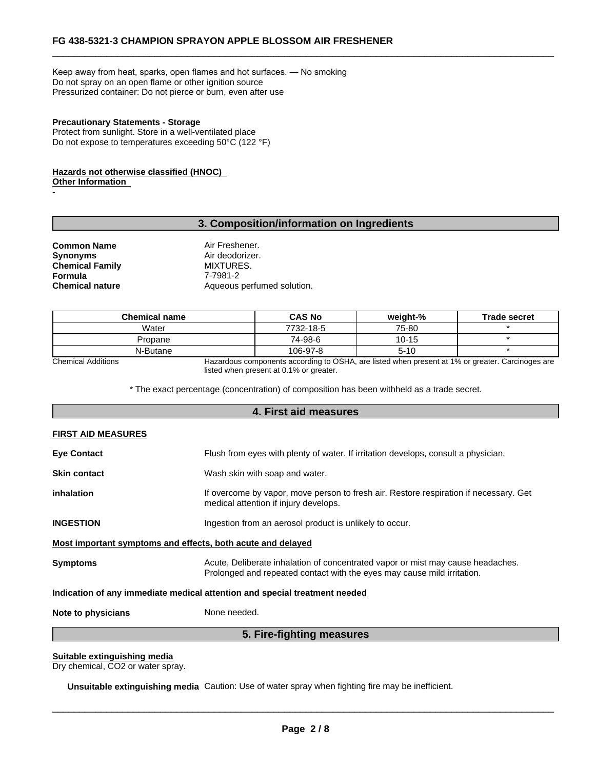Keep away from heat, sparks, open flames and hot surfaces. — No smoking Do not spray on an open flame or other ignition source Pressurized container: Do not pierce or burn, even after use

#### **Precautionary Statements - Storage**

Protect from sunlight. Store in a well-ventilated place Do not expose to temperatures exceeding 50°C (122 °F)

#### **Hazards not otherwise classified (HNOC) Other Information**

#### **3. Composition/information on Ingredients**

**Common Name** Air Freshener.<br> **Common Name** Air deodorizer. **Chemical Family Formula** 7-7981-2<br> **Chemical nature** Aqueous

**-** Construction

Air deodorizer.<br>MIXTURES. Aqueous perfumed solution.

| <b>Chemical name</b> | <b>CAS No</b> | weiaht-%  | <b>Trade secret</b> |
|----------------------|---------------|-----------|---------------------|
| Water                | 7732-18-5     | 75-80     |                     |
| Propane              | 74-98-6       | $10 - 15$ |                     |
| N-Butane             | 106-97-8      | $5 - 10$  |                     |

Chemical Additions Hazardous components according to OSHA, are listed when present at 1% or greater. Carcinoges are listed when present at 0.1% or greater.

 $\overline{\phantom{a}}$  ,  $\overline{\phantom{a}}$  ,  $\overline{\phantom{a}}$  ,  $\overline{\phantom{a}}$  ,  $\overline{\phantom{a}}$  ,  $\overline{\phantom{a}}$  ,  $\overline{\phantom{a}}$  ,  $\overline{\phantom{a}}$  ,  $\overline{\phantom{a}}$  ,  $\overline{\phantom{a}}$  ,  $\overline{\phantom{a}}$  ,  $\overline{\phantom{a}}$  ,  $\overline{\phantom{a}}$  ,  $\overline{\phantom{a}}$  ,  $\overline{\phantom{a}}$  ,  $\overline{\phantom{a}}$ 

\* The exact percentage (concentration) of composition has been withheld as a trade secret.

|                                                             | 4. First aid measures                                                                                                                                      |
|-------------------------------------------------------------|------------------------------------------------------------------------------------------------------------------------------------------------------------|
| <b>FIRST AID MEASURES</b>                                   |                                                                                                                                                            |
| <b>Eye Contact</b>                                          | Flush from eyes with plenty of water. If irritation develops, consult a physician.                                                                         |
| <b>Skin contact</b>                                         | Wash skin with soap and water.                                                                                                                             |
| inhalation                                                  | If overcome by vapor, move person to fresh air. Restore respiration if necessary. Get<br>medical attention if injury develops.                             |
| <b>INGESTION</b>                                            | Ingestion from an aerosol product is unlikely to occur.                                                                                                    |
| Most important symptoms and effects, both acute and delayed |                                                                                                                                                            |
| <b>Symptoms</b>                                             | Acute, Deliberate inhalation of concentrated vapor or mist may cause headaches.<br>Prolonged and repeated contact with the eyes may cause mild irritation. |
|                                                             | Indication of any immediate medical attention and special treatment needed                                                                                 |
| Note to physicians                                          | None needed.                                                                                                                                               |
|                                                             | 5. Fire-fighting measures                                                                                                                                  |

#### **Suitable extinguishing media**

Dry chemical, CO2 or water spray.

**Unsuitable extinguishing media** Caution: Use of water spray when fighting fire may be inefficient.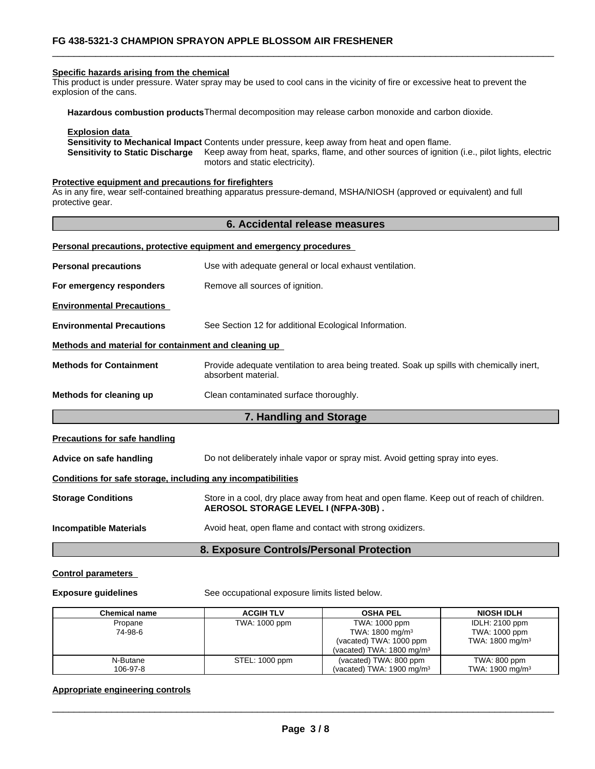#### **Specific hazards arising from the chemical**

This product is under pressure. Water spray may be used to cool cans in the vicinity of fire or excessive heat to prevent the explosion of the cans.

**Hazardous combustion products**Thermal decomposition may release carbon monoxide and carbon dioxide.

#### **Explosion data**

**Sensitivity to Mechanical Impact** Contents under pressure, keep away from heat and open flame. **Sensitivity to Static Discharge** Keep away from heat, sparks, flame, and other sources of ignition (i.e., pilot lights, electric motors and static electricity).

 $\overline{\phantom{a}}$  ,  $\overline{\phantom{a}}$  ,  $\overline{\phantom{a}}$  ,  $\overline{\phantom{a}}$  ,  $\overline{\phantom{a}}$  ,  $\overline{\phantom{a}}$  ,  $\overline{\phantom{a}}$  ,  $\overline{\phantom{a}}$  ,  $\overline{\phantom{a}}$  ,  $\overline{\phantom{a}}$  ,  $\overline{\phantom{a}}$  ,  $\overline{\phantom{a}}$  ,  $\overline{\phantom{a}}$  ,  $\overline{\phantom{a}}$  ,  $\overline{\phantom{a}}$  ,  $\overline{\phantom{a}}$ 

#### **Protective equipment and precautions for firefighters**

**Personal precautions, protective equipment and emergency procedures** 

As in any fire, wear self-contained breathing apparatus pressure-demand, MSHA/NIOSH (approved or equivalent) and full protective gear.

#### **6. Accidental release measures**

|                                                              | Personal precaduons, protective equipment and emergency procedures                                               |
|--------------------------------------------------------------|------------------------------------------------------------------------------------------------------------------|
| <b>Personal precautions</b>                                  | Use with adequate general or local exhaust ventilation.                                                          |
| For emergency responders                                     | Remove all sources of ignition.                                                                                  |
| <b>Environmental Precautions</b>                             |                                                                                                                  |
| <b>Environmental Precautions</b>                             | See Section 12 for additional Ecological Information.                                                            |
| Methods and material for containment and cleaning up         |                                                                                                                  |
| <b>Methods for Containment</b>                               | Provide adequate ventilation to area being treated. Soak up spills with chemically inert,<br>absorbent material. |
| Methods for cleaning up                                      | Clean contaminated surface thoroughly.                                                                           |
|                                                              | 7. Handling and Storage                                                                                          |
| <b>Precautions for safe handling</b>                         |                                                                                                                  |
| Advice on safe handling                                      | Do not deliberately inhale vapor or spray mist. Avoid getting spray into eyes.                                   |
| Conditions for safe storage, including any incompatibilities |                                                                                                                  |

#### **Storage Conditions** Store in a cool, dry place away from heat and open flame. Keep out of reach of children. **AEROSOL STORAGE LEVEL I (NFPA-30B) .**

**Incompatible Materials** Avoid heat, open flame and contact with strong oxidizers.

#### **8. Exposure Controls/Personal Protection**

#### **Control parameters**

**Exposure guidelines** See occupational exposure limits listed below.

| Chemical name | <b>ACGIH TLV</b> | <b>OSHA PEL</b>                      | <b>NIOSH IDLH</b>           |
|---------------|------------------|--------------------------------------|-----------------------------|
| Propane       | TWA: 1000 ppm    | TWA: 1000 ppm                        | IDLH: 2100 ppm              |
| 74-98-6       |                  | TWA: 1800 mg/m <sup>3</sup>          | TWA: 1000 ppm               |
|               |                  | (vacated) TWA: 1000 ppm              | TWA: $1800 \text{ mg/m}^3$  |
|               |                  | (vacated) TWA: $1800 \text{ mg/m}^3$ |                             |
| N-Butane      | STEL: 1000 ppm   | (vacated) TWA: 800 ppm               | TWA: 800 ppm                |
| 106-97-8      |                  | (vacated) TWA: $1900 \text{ mg/m}^3$ | TWA: 1900 mg/m <sup>3</sup> |

#### **Appropriate engineering controls**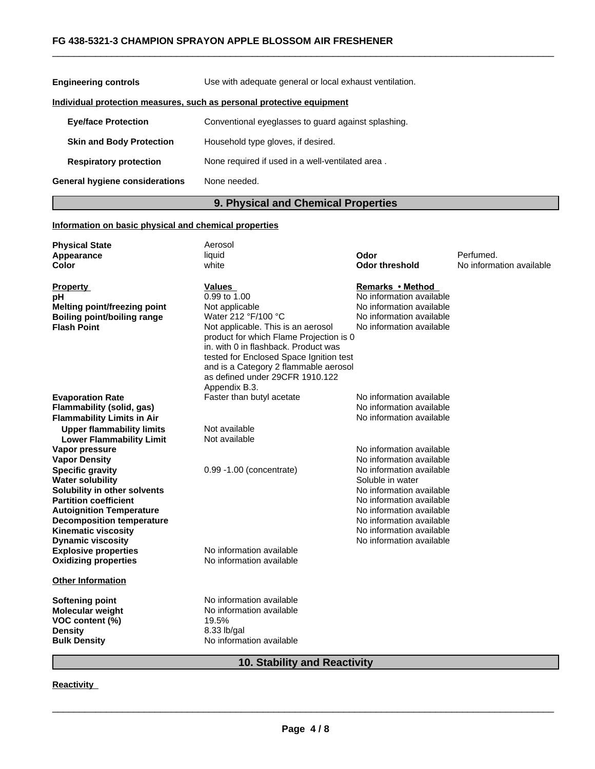#### **FG 438-5321-3 CHAMPION SPRAYON APPLE BLOSSOM AIR FRESHENER**

| <b>Engineering controls</b>           | Use with adequate general or local exhaust ventilation.               |  |
|---------------------------------------|-----------------------------------------------------------------------|--|
|                                       | Individual protection measures, such as personal protective equipment |  |
| <b>Eye/face Protection</b>            | Conventional eyeglasses to guard against splashing.                   |  |
| <b>Skin and Body Protection</b>       | Household type gloves, if desired.                                    |  |
| <b>Respiratory protection</b>         | None required if used in a well-ventilated area.                      |  |
| <b>General hygiene considerations</b> | None needed.                                                          |  |

### **9. Physical and Chemical Properties**

 $\overline{\phantom{a}}$  ,  $\overline{\phantom{a}}$  ,  $\overline{\phantom{a}}$  ,  $\overline{\phantom{a}}$  ,  $\overline{\phantom{a}}$  ,  $\overline{\phantom{a}}$  ,  $\overline{\phantom{a}}$  ,  $\overline{\phantom{a}}$  ,  $\overline{\phantom{a}}$  ,  $\overline{\phantom{a}}$  ,  $\overline{\phantom{a}}$  ,  $\overline{\phantom{a}}$  ,  $\overline{\phantom{a}}$  ,  $\overline{\phantom{a}}$  ,  $\overline{\phantom{a}}$  ,  $\overline{\phantom{a}}$ 

#### **Information on basic physical and chemical properties**

| <b>Physical State</b>                                               | Aerosol                                                                       |                          |                          |
|---------------------------------------------------------------------|-------------------------------------------------------------------------------|--------------------------|--------------------------|
| Appearance                                                          | liquid                                                                        | Odor                     | Perfumed.                |
| <b>Color</b>                                                        | white                                                                         | <b>Odor threshold</b>    | No information available |
| <b>Property</b>                                                     | <b>Values</b>                                                                 | Remarks • Method         |                          |
| рH                                                                  | 0.99 to 1.00                                                                  | No information available |                          |
| <b>Melting point/freezing point</b>                                 | Not applicable                                                                | No information available |                          |
| <b>Boiling point/boiling range</b>                                  | Water 212 °F/100 °C                                                           | No information available |                          |
| <b>Flash Point</b>                                                  | Not applicable. This is an aerosol<br>product for which Flame Projection is 0 | No information available |                          |
|                                                                     | in, with 0 in flashback. Product was                                          |                          |                          |
|                                                                     | tested for Enclosed Space Ignition test                                       |                          |                          |
|                                                                     | and is a Category 2 flammable aerosol                                         |                          |                          |
|                                                                     | as defined under 29CFR 1910.122                                               |                          |                          |
|                                                                     | Appendix B.3.                                                                 |                          |                          |
| <b>Evaporation Rate</b>                                             | Faster than butyl acetate                                                     | No information available |                          |
| <b>Flammability (solid, gas)</b>                                    |                                                                               | No information available |                          |
| <b>Flammability Limits in Air</b>                                   |                                                                               | No information available |                          |
| <b>Upper flammability limits</b><br><b>Lower Flammability Limit</b> | Not available<br>Not available                                                |                          |                          |
| Vapor pressure                                                      |                                                                               | No information available |                          |
| <b>Vapor Density</b>                                                |                                                                               | No information available |                          |
| <b>Specific gravity</b>                                             | 0.99 -1.00 (concentrate)                                                      | No information available |                          |
| <b>Water solubility</b>                                             |                                                                               | Soluble in water         |                          |
| Solubility in other solvents                                        |                                                                               | No information available |                          |
| <b>Partition coefficient</b>                                        |                                                                               | No information available |                          |
| <b>Autoignition Temperature</b>                                     |                                                                               | No information available |                          |
| <b>Decomposition temperature</b>                                    |                                                                               | No information available |                          |
| <b>Kinematic viscosity</b>                                          |                                                                               | No information available |                          |
| <b>Dynamic viscosity</b>                                            |                                                                               | No information available |                          |
| <b>Explosive properties</b>                                         | No information available                                                      |                          |                          |
| <b>Oxidizing properties</b>                                         | No information available                                                      |                          |                          |
| <b>Other Information</b>                                            |                                                                               |                          |                          |
| Softening point                                                     | No information available                                                      |                          |                          |
| <b>Molecular weight</b>                                             | No information available                                                      |                          |                          |
| VOC content (%)                                                     | 19.5%                                                                         |                          |                          |
| <b>Density</b>                                                      | 8.33 lb/gal                                                                   |                          |                          |
| <b>Bulk Density</b>                                                 | No information available                                                      |                          |                          |
|                                                                     |                                                                               |                          |                          |

## **10. Stability and Reactivity**

#### **Reactivity**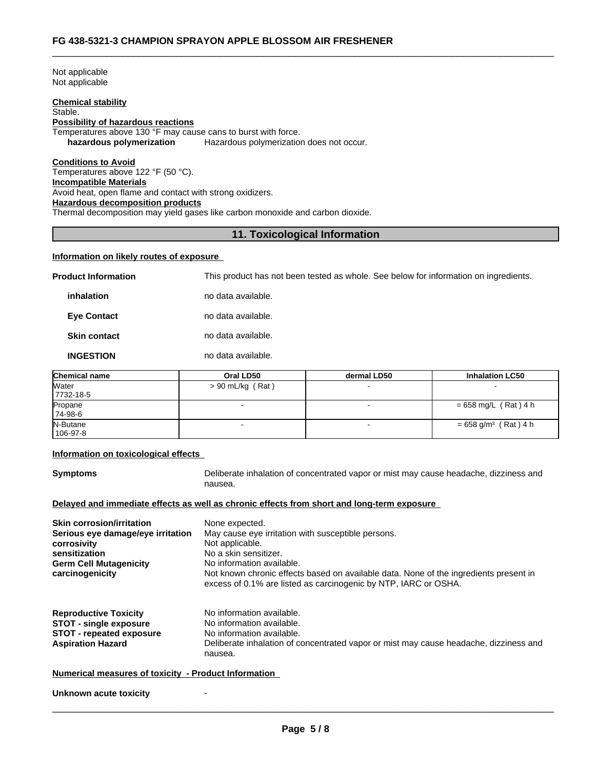Not applicable Not applicable

#### **Chemical stability**

#### Stable. **Possibility of hazardous reactions**

Temperatures above 130 °F may cause cans to burst with force.<br> **hazardous polymerization** Hazardous polymerization **hazardous polymerization does not occur.** 

#### **Conditions to Avoid**

Temperatures above 122 °F (50 °C). **Incompatible Materials** Avoid heat, open flame and contact with strong oxidizers. **Hazardous decomposition products** Thermal decomposition may yield gases like carbon monoxide and carbon dioxide.

#### **11. Toxicological Information**

 $\overline{\phantom{a}}$  ,  $\overline{\phantom{a}}$  ,  $\overline{\phantom{a}}$  ,  $\overline{\phantom{a}}$  ,  $\overline{\phantom{a}}$  ,  $\overline{\phantom{a}}$  ,  $\overline{\phantom{a}}$  ,  $\overline{\phantom{a}}$  ,  $\overline{\phantom{a}}$  ,  $\overline{\phantom{a}}$  ,  $\overline{\phantom{a}}$  ,  $\overline{\phantom{a}}$  ,  $\overline{\phantom{a}}$  ,  $\overline{\phantom{a}}$  ,  $\overline{\phantom{a}}$  ,  $\overline{\phantom{a}}$ 

#### **Information on likely routes of exposure**

**Product Information** This product has not been tested as whole. See below for information on ingredients.

**inhalation** no data available.

**Eye Contact no data available.** 

**Skin contact** no data available.

#### **INGESTION** no data available.

| <b>Chemical name</b>       | Oral LD50          | dermal LD50 | <b>Inhalation LC50</b>             |
|----------------------------|--------------------|-------------|------------------------------------|
| <b>Water</b><br>7732-18-5  | $> 90$ mL/kg (Rat) |             |                                    |
| Propane<br>74-98-6         |                    |             | $= 658$ mg/L (Rat) 4 h             |
| N-Butane<br>$106 - 97 - 8$ |                    |             | $= 658$ g/m <sup>3</sup> (Rat) 4 h |

#### **Information on toxicological effects**

**Symptoms** Deliberate inhalation of concentrated vapor or mist may cause headache, dizziness and nausea.

#### **Delayed and immediate effects as well as chronic effects from short and long-term exposure**

| <b>Skin corrosion/irritation</b><br>Serious eye damage/eye irritation<br>corrosivity<br>sensitization<br><b>Germ Cell Mutagenicity</b><br>carcinogenicity | None expected.<br>May cause eye irritation with susceptible persons.<br>Not applicable.<br>No a skin sensitizer.<br>No information available.<br>Not known chronic effects based on available data. None of the ingredients present in<br>excess of 0.1% are listed as carcinogenic by NTP, IARC or OSHA. |
|-----------------------------------------------------------------------------------------------------------------------------------------------------------|-----------------------------------------------------------------------------------------------------------------------------------------------------------------------------------------------------------------------------------------------------------------------------------------------------------|
| <b>Reproductive Toxicity</b><br><b>STOT - single exposure</b><br><b>STOT - repeated exposure</b><br><b>Aspiration Hazard</b>                              | No information available.<br>No information available.<br>No information available.<br>Deliberate inhalation of concentrated vapor or mist may cause headache, dizziness and<br>nausea.                                                                                                                   |

#### **Numerical measures of toxicity - Product Information**

**Unknown acute toxicity**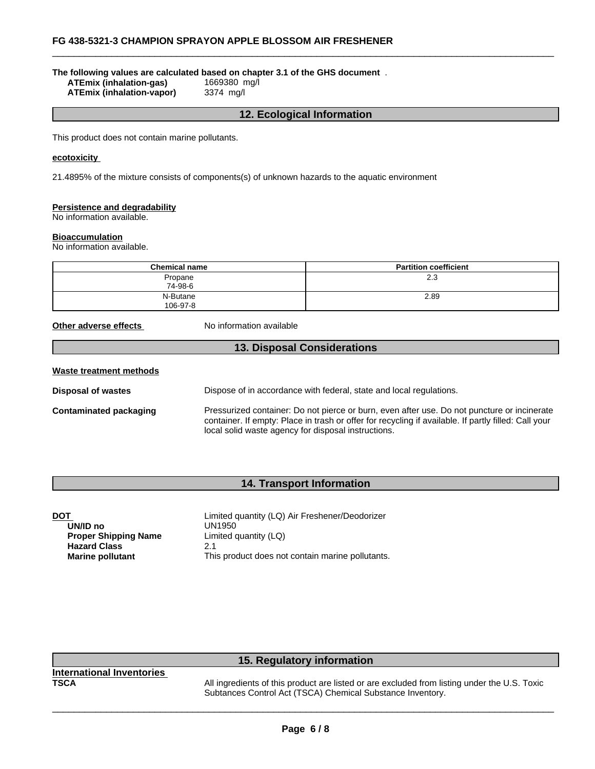#### **The following values are calculated based on chapter 3.1 of the GHS document** .

**ATEmix (inhalation-gas)** 1669380 mg/l **ATEmix (inhalation-vapor)** 

#### **12. Ecological Information**

 $\overline{\phantom{a}}$  ,  $\overline{\phantom{a}}$  ,  $\overline{\phantom{a}}$  ,  $\overline{\phantom{a}}$  ,  $\overline{\phantom{a}}$  ,  $\overline{\phantom{a}}$  ,  $\overline{\phantom{a}}$  ,  $\overline{\phantom{a}}$  ,  $\overline{\phantom{a}}$  ,  $\overline{\phantom{a}}$  ,  $\overline{\phantom{a}}$  ,  $\overline{\phantom{a}}$  ,  $\overline{\phantom{a}}$  ,  $\overline{\phantom{a}}$  ,  $\overline{\phantom{a}}$  ,  $\overline{\phantom{a}}$ 

This product does not contain marine pollutants.

#### **ecotoxicity**

21.4895% of the mixture consists of components(s) of unknown hazards to the aquatic environment

#### **Persistence and degradability**

No information available.

#### **Bioaccumulation**

No information available.

| <b>Chemical name</b> | <b>Partition coefficient</b> |
|----------------------|------------------------------|
| Propane<br>74-98-6   | 2.3                          |
| N-Butane<br>106-97-8 | 2.89                         |

**Other adverse effects** No information available

#### **13. Disposal Considerations**

| Waste treatment methods |                                                                                                                                                                                                                                                            |
|-------------------------|------------------------------------------------------------------------------------------------------------------------------------------------------------------------------------------------------------------------------------------------------------|
| Disposal of wastes      | Dispose of in accordance with federal, state and local regulations.                                                                                                                                                                                        |
| Contaminated packaging  | Pressurized container: Do not pierce or burn, even after use. Do not puncture or incinerate<br>container. If empty: Place in trash or offer for recycling if available. If partly filled: Call your<br>local solid waste agency for disposal instructions. |

#### **14. Transport Information**

| Limited quantity (LQ) Air Freshener/Deodorizer   |
|--------------------------------------------------|
| UN1950                                           |
| Limited quantity (LQ)                            |
| 2.1                                              |
| This product does not contain marine pollutants. |
|                                                  |

#### **15. Regulatory information**

| <b>International Inventories</b> |       |
|----------------------------------|-------|
| TSCA                             | All i |

All ingredients of this product are listed or are excluded from listing under the U.S. Toxic Subtances Control Act (TSCA) Chemical Substance Inventory.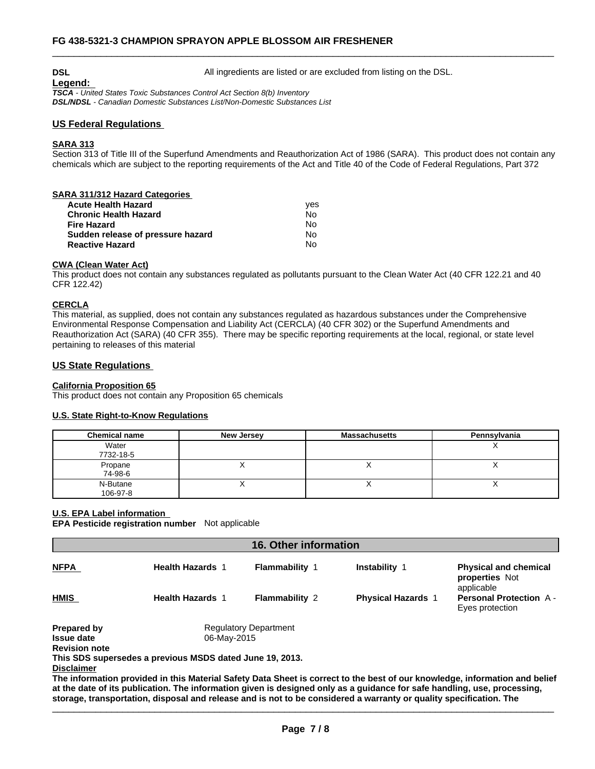#### **DSL DSL All ingredients are listed or are excluded from listing on the DSL.**

**Legend:** 

*TSCA - United States Toxic Substances Control Act Section 8(b) Inventory*

*DSL/NDSL - Canadian Domestic Substances List/Non-Domestic Substances List*

#### **US Federal Regulations**

#### **SARA 313**

Section 313 of Title III of the Superfund Amendments and Reauthorization Act of 1986 (SARA). This product does not contain any chemicals which are subject to the reporting requirements of the Act and Title 40 of the Code of Federal Regulations, Part 372

 $\overline{\phantom{a}}$  ,  $\overline{\phantom{a}}$  ,  $\overline{\phantom{a}}$  ,  $\overline{\phantom{a}}$  ,  $\overline{\phantom{a}}$  ,  $\overline{\phantom{a}}$  ,  $\overline{\phantom{a}}$  ,  $\overline{\phantom{a}}$  ,  $\overline{\phantom{a}}$  ,  $\overline{\phantom{a}}$  ,  $\overline{\phantom{a}}$  ,  $\overline{\phantom{a}}$  ,  $\overline{\phantom{a}}$  ,  $\overline{\phantom{a}}$  ,  $\overline{\phantom{a}}$  ,  $\overline{\phantom{a}}$ 

#### **SARA 311/312 Hazard Categories**

| <b>Acute Health Hazard</b>        | ves |
|-----------------------------------|-----|
| <b>Chronic Health Hazard</b>      | No  |
| <b>Fire Hazard</b>                | N٥  |
| Sudden release of pressure hazard | N٥  |
| <b>Reactive Hazard</b>            | No  |

#### **CWA (Clean Water Act)**

This product does not contain any substances regulated as pollutants pursuant to the Clean Water Act (40 CFR 122.21 and 40 CFR 122.42)

#### **CERCLA**

This material, as supplied, does not contain any substances regulated as hazardous substances under the Comprehensive Environmental Response Compensation and Liability Act (CERCLA) (40 CFR 302) or the Superfund Amendments and Reauthorization Act (SARA) (40 CFR 355). There may be specific reporting requirements at the local, regional, or state level pertaining to releases of this material

#### **US State Regulations**

#### **California Proposition 65**

This product does not contain any Proposition 65 chemicals

#### **U.S. State Right-to-Know Regulations**

| <b>Chemical name</b> | <b>New Jersey</b> | <b>Massachusetts</b> | Pennsylvania |
|----------------------|-------------------|----------------------|--------------|
| Water<br>7732-18-5   |                   |                      |              |
| Propane<br>74-98-6   |                   |                      |              |
| N-Butane<br>106-97-8 |                   |                      |              |

#### **U.S. EPA Label information**

**EPA Pesticide registration number** Not applicable

| <b>NFPA</b>          | <b>Health Hazards 1</b>                                  | <b>Flammability 1</b>        | <b>Instability 1</b>                                                                                                        | <b>Physical and chemical</b><br>properties Not<br>applicable |
|----------------------|----------------------------------------------------------|------------------------------|-----------------------------------------------------------------------------------------------------------------------------|--------------------------------------------------------------|
| <b>HMIS</b>          | <b>Health Hazards 1</b>                                  | <b>Flammability 2</b>        | <b>Physical Hazards 1</b>                                                                                                   | <b>Personal Protection A-</b><br>Eyes protection             |
| <b>Prepared by</b>   |                                                          | <b>Regulatory Department</b> |                                                                                                                             |                                                              |
| <b>Issue date</b>    | 06-May-2015                                              |                              |                                                                                                                             |                                                              |
| <b>Revision note</b> |                                                          |                              |                                                                                                                             |                                                              |
|                      | This SDS supersedes a previous MSDS dated June 19, 2013. |                              |                                                                                                                             |                                                              |
| <b>Disclaimer</b>    |                                                          |                              |                                                                                                                             |                                                              |
|                      |                                                          |                              | The information provided in this Material Cafety Date Chest is correct to the heat of our knowledge, information and helief |                                                              |

**The information provided in this Material Safety Data Sheet is correct to the best of our knowledge, information and belief at the date of its publication. The information given is designed only as a guidance for safe handling, use, processing,** storage, transportation, disposal and release and is not to be considered a warranty or quality specification. The